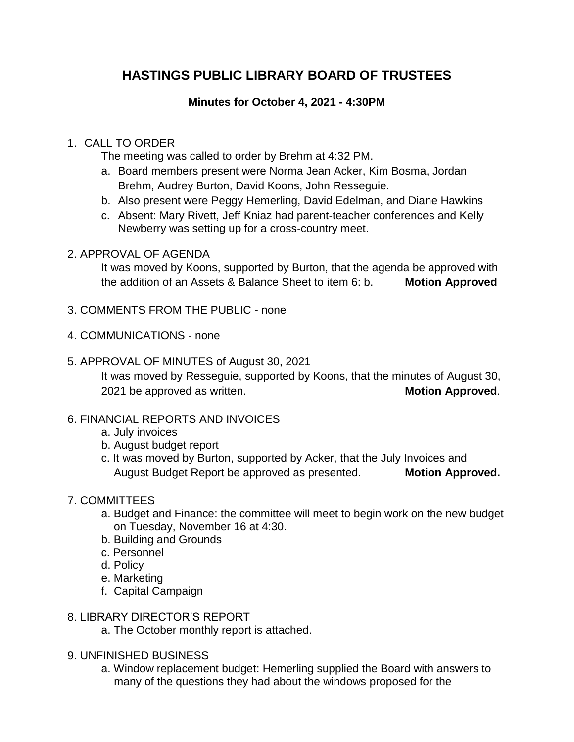# **HASTINGS PUBLIC LIBRARY BOARD OF TRUSTEES**

### **Minutes for October 4, 2021 - 4:30PM**

#### 1. CALL TO ORDER

The meeting was called to order by Brehm at 4:32 PM.

- a. Board members present were Norma Jean Acker, Kim Bosma, Jordan Brehm, Audrey Burton, David Koons, John Resseguie.
- b. Also present were Peggy Hemerling, David Edelman, and Diane Hawkins
- c. Absent: Mary Rivett, Jeff Kniaz had parent-teacher conferences and Kelly Newberry was setting up for a cross-country meet.

### 2. APPROVAL OF AGENDA

It was moved by Koons, supported by Burton, that the agenda be approved with the addition of an Assets & Balance Sheet to item 6: b. **Motion Approved**

- 3. COMMENTS FROM THE PUBLIC none
- 4. COMMUNICATIONS none
- 5. APPROVAL OF MINUTES of August 30, 2021

It was moved by Resseguie, supported by Koons, that the minutes of August 30, 2021 be approved as written. **Motion Approved**.

- 6. FINANCIAL REPORTS AND INVOICES
	- a. July invoices
	- b. August budget report
	- c. It was moved by Burton, supported by Acker, that the July Invoices and August Budget Report be approved as presented. **Motion Approved.**

## 7. COMMITTEES

- a. Budget and Finance: the committee will meet to begin work on the new budget on Tuesday, November 16 at 4:30.
- b. Building and Grounds
- c. Personnel
- d. Policy
- e. Marketing
- f. Capital Campaign
- 8. LIBRARY DIRECTOR'S REPORT
	- a. The October monthly report is attached.
- 9. UNFINISHED BUSINESS
	- a. Window replacement budget: Hemerling supplied the Board with answers to many of the questions they had about the windows proposed for the